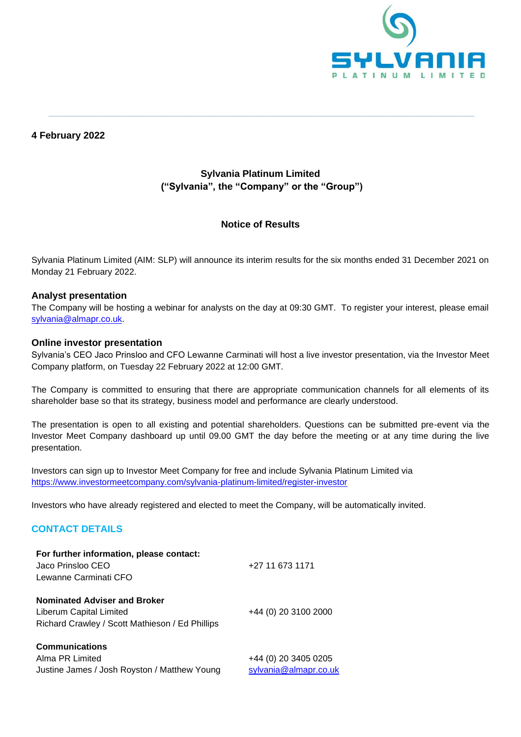

# **4 February 2022**

# **Sylvania Platinum Limited ("Sylvania", the "Company" or the "Group")**

**\_\_\_\_\_\_\_\_\_\_\_\_\_\_\_\_\_\_\_\_\_\_\_\_\_\_\_\_\_\_\_\_\_\_\_\_\_\_\_\_\_\_\_\_\_\_\_\_\_\_\_\_\_\_\_\_\_\_\_\_\_\_\_\_\_\_\_\_\_\_\_\_\_\_\_\_\_\_\_\_\_\_\_\_\_\_\_\_\_\_\_\_\_\_\_\_\_\_\_\_\_\_\_\_\_\_\_\_\_\_\_\_\_\_\_\_\_\_\_\_\_\_\_\_\_**

## **Notice of Results**

Sylvania Platinum Limited (AIM: SLP) will announce its interim results for the six months ended 31 December 2021 on Monday 21 February 2022.

## **Analyst presentation**

The Company will be hosting a webinar for analysts on the day at 09:30 GMT. To register your interest, please email [sylvania@almapr.co.uk.](mailto:sylvania@almapr.co.uk)

#### **Online investor presentation**

Sylvania's CEO Jaco Prinsloo and CFO Lewanne Carminati will host a live investor presentation, via the Investor Meet Company platform, on Tuesday 22 February 2022 at 12:00 GMT.

The Company is committed to ensuring that there are appropriate communication channels for all elements of its shareholder base so that its strategy, business model and performance are clearly understood.

The presentation is open to all existing and potential shareholders. Questions can be submitted pre-event via the Investor Meet Company dashboard up until 09.00 GMT the day before the meeting or at any time during the live presentation.

Investors can sign up to Investor Meet Company for free and include Sylvania Platinum Limited via <https://www.investormeetcompany.com/sylvania-platinum-limited/register-investor>

Investors who have already registered and elected to meet the Company, will be automatically invited.

## **CONTACT DETAILS**

| For further information, please contact:<br>Jaco Prinsloo CEO<br>Lewanne Carminati CFO                            | +27 11 673 1171      |
|-------------------------------------------------------------------------------------------------------------------|----------------------|
| <b>Nominated Adviser and Broker</b><br>Liberum Capital Limited<br>Richard Crawley / Scott Mathieson / Ed Phillips | +44 (0) 20 3100 2000 |
| <b>Communications</b><br>Alma PR Limited                                                                          | +44 (0) 20 3405 0205 |

Justine James / Josh Royston / Matthew Young [sylvania@almapr.co.uk](mailto:sylvania@almapr.co.uk)